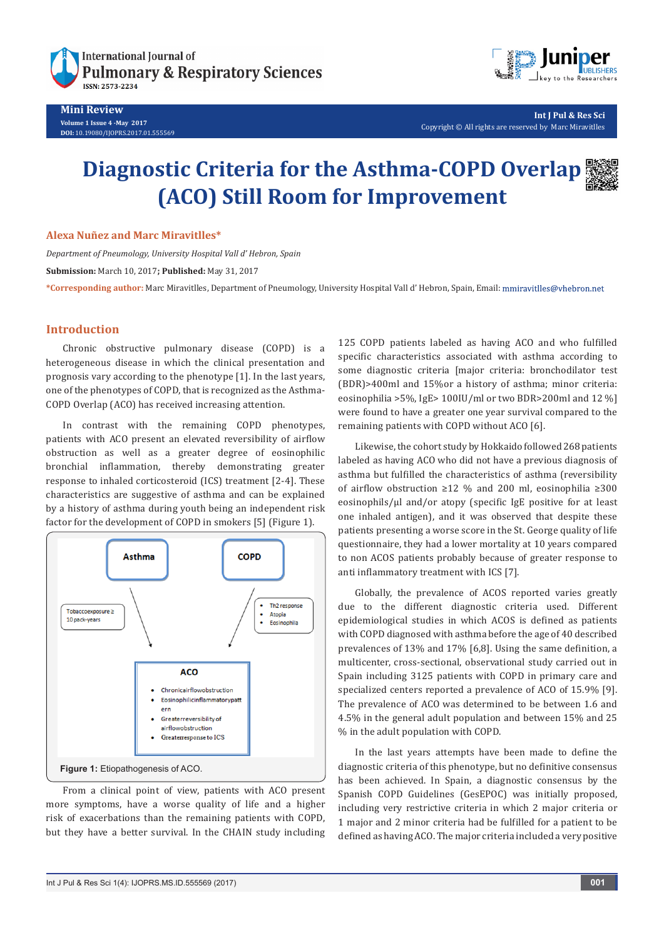



**Int J Pul & Res Sci** Copyright © All rights are reserved by Marc Miravitlles

## **Diagnostic Criteria for the Asthma-COPD Overlap (ACO) Still Room for Improvement**

**Alexa Nuñez and Marc Miravitlles\***

*Department of Pneumology, University Hospital Vall d' Hebron, Spain*

**Submission:** March 10, 2017**; Published:** May 31, 2017

**\*Corresponding author:** Marc Miravitlles, Department of Pneumology, University Hospital Vall d' Hebron, Spain, Email:

## **Introduction**

Chronic obstructive pulmonary disease (COPD) is a heterogeneous disease in which the clinical presentation and prognosis vary according to the phenotype [1]. In the last years, one of the phenotypes of COPD, that is recognized as the Asthma-COPD Overlap (ACO) has received increasing attention.

In contrast with the remaining COPD phenotypes, patients with ACO present an elevated reversibility of airflow obstruction as well as a greater degree of eosinophilic bronchial inflammation, thereby demonstrating greater response to inhaled corticosteroid (ICS) treatment [2-4]. These characteristics are suggestive of asthma and can be explained by a history of asthma during youth being an independent risk factor for the development of COPD in smokers [5] (Figure 1).



From a clinical point of view, patients with ACO present more symptoms, have a worse quality of life and a higher risk of exacerbations than the remaining patients with COPD, but they have a better survival. In the CHAIN study including

125 COPD patients labeled as having ACO and who fulfilled specific characteristics associated with asthma according to some diagnostic criteria [major criteria: bronchodilator test (BDR)>400ml and 15%or a history of asthma; minor criteria: eosinophilia >5%, IgE> 100IU/ml or two BDR>200ml and 12 %] were found to have a greater one year survival compared to the remaining patients with COPD without ACO [6].

Likewise, the cohort study by Hokkaido followed 268 patients labeled as having ACO who did not have a previous diagnosis of asthma but fulfilled the characteristics of asthma (reversibility of airflow obstruction ≥12 % and 200 ml, eosinophilia ≥300 eosinophils/µl and/or atopy (specific IgE positive for at least one inhaled antigen), and it was observed that despite these patients presenting a worse score in the St. George quality of life questionnaire, they had a lower mortality at 10 years compared to non ACOS patients probably because of greater response to anti inflammatory treatment with ICS [7].

Globally, the prevalence of ACOS reported varies greatly due to the different diagnostic criteria used. Different epidemiological studies in which ACOS is defined as patients with COPD diagnosed with asthma before the age of 40 described prevalences of 13% and 17% [6,8]. Using the same definition, a multicenter, cross-sectional, observational study carried out in Spain including 3125 patients with COPD in primary care and specialized centers reported a prevalence of ACO of 15.9% [9]. The prevalence of ACO was determined to be between 1.6 and 4.5% in the general adult population and between 15% and 25 % in the adult population with COPD.

In the last years attempts have been made to define the diagnostic criteria of this phenotype, but no definitive consensus has been achieved. In Spain, a diagnostic consensus by the Spanish COPD Guidelines (GesEPOC) was initially proposed, including very restrictive criteria in which 2 major criteria or 1 major and 2 minor criteria had be fulfilled for a patient to be defined as having ACO. The major criteria included a very positive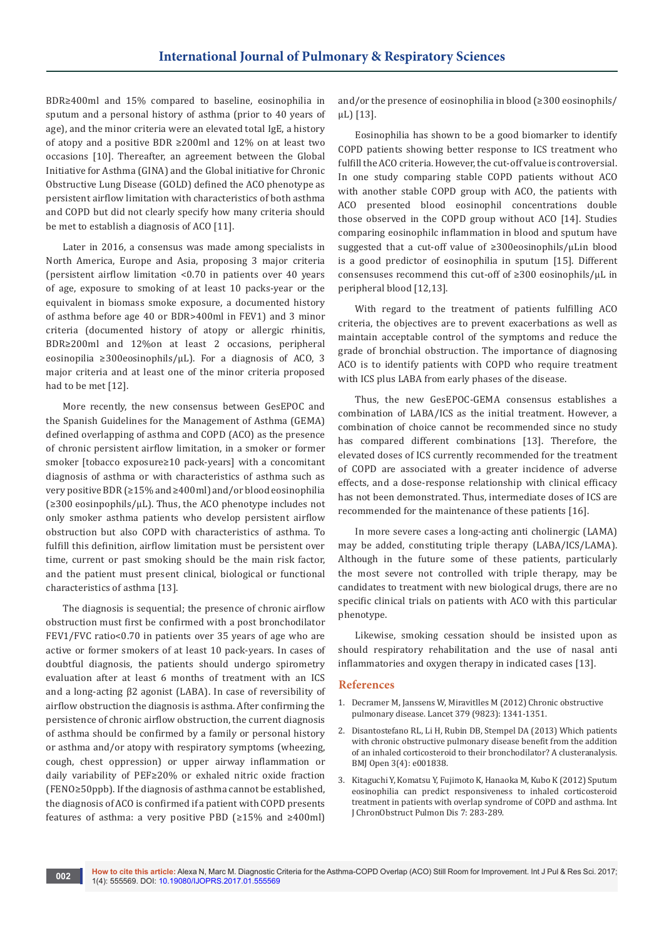BDR≥400ml and 15% compared to baseline, eosinophilia in sputum and a personal history of asthma (prior to 40 years of age), and the minor criteria were an elevated total IgE, a history of atopy and a positive BDR ≥200ml and 12% on at least two occasions [10]. Thereafter, an agreement between the Global Initiative for Asthma (GINA) and the Global initiative for Chronic Obstructive Lung Disease (GOLD) defined the ACO phenotype as persistent airflow limitation with characteristics of both asthma and COPD but did not clearly specify how many criteria should be met to establish a diagnosis of ACO [11].

Later in 2016, a consensus was made among specialists in North America, Europe and Asia, proposing 3 major criteria (persistent airflow limitation <0.70 in patients over 40 years of age, exposure to smoking of at least 10 packs-year or the equivalent in biomass smoke exposure, a documented history of asthma before age 40 or BDR>400ml in FEV1) and 3 minor criteria (documented history of atopy or allergic rhinitis, BDR≥200ml and 12%on at least 2 occasions, peripheral eosinopilia ≥300eosinophils/µL). For a diagnosis of ACO, 3 major criteria and at least one of the minor criteria proposed had to be met [12].

More recently, the new consensus between GesEPOC and the Spanish Guidelines for the Management of Asthma (GEMA) defined overlapping of asthma and COPD (ACO) as the presence of chronic persistent airflow limitation, in a smoker or former smoker [tobacco exposure≥10 pack-years] with a concomitant diagnosis of asthma or with characteristics of asthma such as very positive BDR (≥15% and ≥400ml) and/or blood eosinophilia (≥300 eosinpophils/µL). Thus, the ACO phenotype includes not only smoker asthma patients who develop persistent airflow obstruction but also COPD with characteristics of asthma. To fulfill this definition, airflow limitation must be persistent over time, current or past smoking should be the main risk factor, and the patient must present clinical, biological or functional characteristics of asthma [13].

The diagnosis is sequential; the presence of chronic airflow obstruction must first be confirmed with a post bronchodilator FEV1/FVC ratio<0.70 in patients over 35 years of age who are active or former smokers of at least 10 pack-years. In cases of doubtful diagnosis, the patients should undergo spirometry evaluation after at least 6 months of treatment with an ICS and a long-acting β2 agonist (LABA). In case of reversibility of airflow obstruction the diagnosis is asthma. After confirming the persistence of chronic airflow obstruction, the current diagnosis of asthma should be confirmed by a family or personal history or asthma and/or atopy with respiratory symptoms (wheezing, cough, chest oppression) or upper airway inflammation or daily variability of PEF≥20% or exhaled nitric oxide fraction (FENO≥50ppb). If the diagnosis of asthma cannot be established, the diagnosis of ACO is confirmed if a patient with COPD presents features of asthma: a very positive PBD (≥15% and ≥400ml)

and/or the presence of eosinophilia in blood (≥300 eosinophils/ µL) [13].

Eosinophilia has shown to be a good biomarker to identify COPD patients showing better response to ICS treatment who fulfill the ACO criteria. However, the cut-off value is controversial. In one study comparing stable COPD patients without ACO with another stable COPD group with ACO, the patients with ACO presented blood eosinophil concentrations double those observed in the COPD group without ACO [14]. Studies comparing eosinophilc inflammation in blood and sputum have suggested that a cut-off value of ≥300eosinophils/µLin blood is a good predictor of eosinophilia in sputum [15]. Different consensuses recommend this cut-off of ≥300 eosinophils/µL in peripheral blood [12,13].

With regard to the treatment of patients fulfilling ACO criteria, the objectives are to prevent exacerbations as well as maintain acceptable control of the symptoms and reduce the grade of bronchial obstruction. The importance of diagnosing ACO is to identify patients with COPD who require treatment with ICS plus LABA from early phases of the disease.

Thus, the new GesEPOC-GEMA consensus establishes a combination of LABA/ICS as the initial treatment. However, a combination of choice cannot be recommended since no study has compared different combinations [13]. Therefore, the elevated doses of ICS currently recommended for the treatment of COPD are associated with a greater incidence of adverse effects, and a dose-response relationship with clinical efficacy has not been demonstrated. Thus, intermediate doses of ICS are recommended for the maintenance of these patients [16].

In more severe cases a long-acting anti cholinergic (LAMA) may be added, constituting triple therapy (LABA/ICS/LAMA). Although in the future some of these patients, particularly the most severe not controlled with triple therapy, may be candidates to treatment with new biological drugs, there are no specific clinical trials on patients with ACO with this particular phenotype.

Likewise, smoking cessation should be insisted upon as should respiratory rehabilitation and the use of nasal anti inflammatories and oxygen therapy in indicated cases [13].

## **References**

- 1. [Decramer M, Janssens W, Miravitlles M \(2012\) Chronic obstructive](https://www.ncbi.nlm.nih.gov/pubmed/22314182)  [pulmonary disease. Lancet 379 \(9823\): 1341-1351.](https://www.ncbi.nlm.nih.gov/pubmed/22314182)
- 2. [Disantostefano RL, Li H, Rubin DB, Stempel DA \(2013\) Which patients](https://www.ncbi.nlm.nih.gov/pubmed/23613569)  [with chronic obstructive pulmonary disease benefit from the addition](https://www.ncbi.nlm.nih.gov/pubmed/23613569)  [of an inhaled corticosteroid to their bronchodilator? A clusteranalysis.](https://www.ncbi.nlm.nih.gov/pubmed/23613569)  [BMJ Open 3\(4\): e001838.](https://www.ncbi.nlm.nih.gov/pubmed/23613569)
- 3. [Kitaguchi Y, Komatsu Y, Fujimoto K, Hanaoka M, Kubo K \(2012\) Sputum](https://www.ncbi.nlm.nih.gov/pubmed/22589579)  [eosinophilia can predict responsiveness to inhaled corticosteroid](https://www.ncbi.nlm.nih.gov/pubmed/22589579)  [treatment in patients with overlap syndrome of COPD and asthma. Int](https://www.ncbi.nlm.nih.gov/pubmed/22589579)  [J ChronObstruct Pulmon Dis 7: 283-289.](https://www.ncbi.nlm.nih.gov/pubmed/22589579)